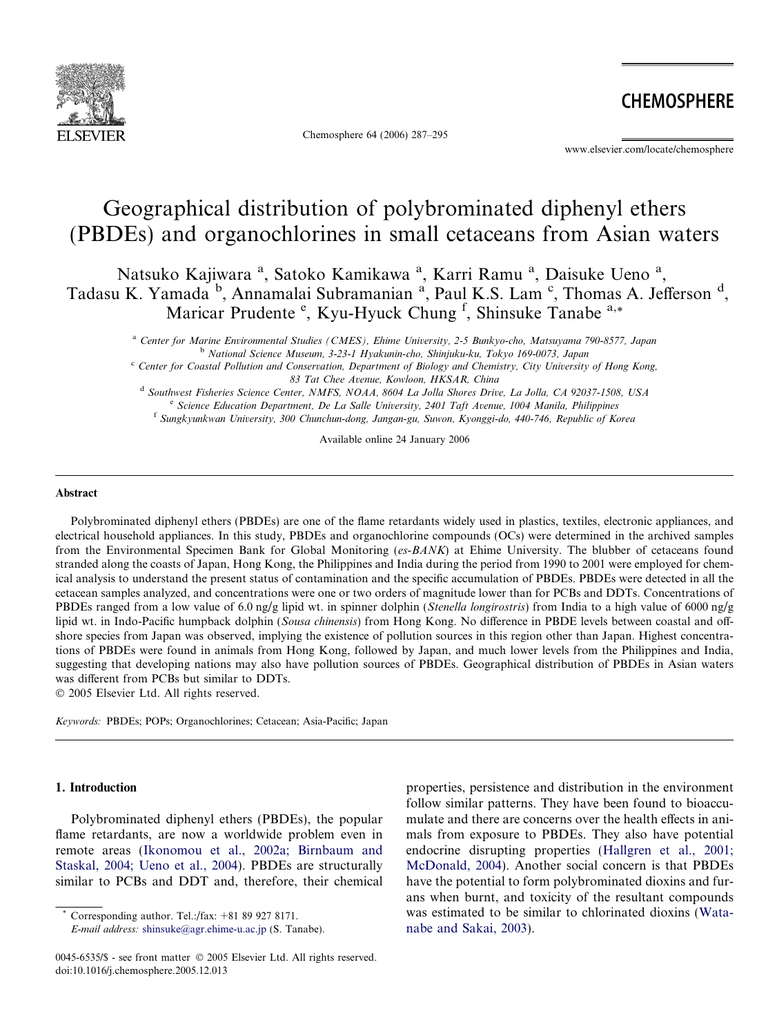

Chemosphere 64 (2006) 287–295

**CHEMOSPHERE** 

www.elsevier.com/locate/chemosphere

# Geographical distribution of polybrominated diphenyl ethers (PBDEs) and organochlorines in small cetaceans from Asian waters

Natsuko Kajiwara<sup>a</sup>, Satoko Kamikawa<sup>a</sup>, Karri Ramu<sup>a</sup>, Daisuke Ueno<sup>a</sup>, Tadasu K. Yamada <sup>b</sup>, Annamalai Subramanian<sup>a</sup>, Paul K.S. Lam<sup>c</sup>, Thomas A. Jefferson<sup>d</sup>, Maricar Prudente <sup>e</sup>, Kyu-Hyuck Chung <sup>f</sup>, Shinsuke Tanabe a,\*

<sup>a</sup> Center for Marine Environmental Studies (CMES), Ehime University, 2-5 Bunkyo-cho, Matsuyama 790-8577, Japan <sup>b</sup> National Science Museum, 3-23-1 Hyakunin-cho, Shinjuku-ku, Tokyo 169-0073, Japan

 $c^c$  Center for Coastal Pollution and Conservation, Department of Biology and Chemistry, City University of Hong Kong, 83 Tat Chee Avenue, Kowloon, HKSAR, China

<sup>d</sup> Southwest Fisheries Science Center, NMFS, NOAA, 8604 La Jolla Shores Drive, La Jolla, CA 92037-1508, USA <sup>e</sup> Science Education Department, De La Salle University, 2401 Taft Avenue, 1004 Manila, Philippines <sup>f</sup> Sungkyunkwan University, 300 Chunchun-dong, Jangan-gu, Suwon, Kyonggi-do, 440-746, Republic of Korea

Available online 24 January 2006

#### Abstract

Polybrominated diphenyl ethers (PBDEs) are one of the flame retardants widely used in plastics, textiles, electronic appliances, and electrical household appliances. In this study, PBDEs and organochlorine compounds (OCs) were determined in the archived samples from the Environmental Specimen Bank for Global Monitoring (es-BANK) at Ehime University. The blubber of cetaceans found stranded along the coasts of Japan, Hong Kong, the Philippines and India during the period from 1990 to 2001 were employed for chemical analysis to understand the present status of contamination and the specific accumulation of PBDEs. PBDEs were detected in all the cetacean samples analyzed, and concentrations were one or two orders of magnitude lower than for PCBs and DDTs. Concentrations of PBDEs ranged from a low value of 6.0 ng/g lipid wt. in spinner dolphin (Stenella longirostris) from India to a high value of 6000 ng/g lipid wt. in Indo-Pacific humpback dolphin (Sousa chinensis) from Hong Kong. No difference in PBDE levels between coastal and offshore species from Japan was observed, implying the existence of pollution sources in this region other than Japan. Highest concentrations of PBDEs were found in animals from Hong Kong, followed by Japan, and much lower levels from the Philippines and India, suggesting that developing nations may also have pollution sources of PBDEs. Geographical distribution of PBDEs in Asian waters was different from PCBs but similar to DDTs.

© 2005 Elsevier Ltd. All rights reserved.

Keywords: PBDEs; POPs; Organochlorines; Cetacean; Asia-Pacific; Japan

## 1. Introduction

Polybrominated diphenyl ethers (PBDEs), the popular flame retardants, are now a worldwide problem even in remote areas ([Ikonomou et al., 2002a; Birnbaum and](#page-8-0) [Staskal, 2004; Ueno et al., 2004](#page-8-0)). PBDEs are structurally similar to PCBs and DDT and, therefore, their chemical

Corresponding author. Tel.:/fax:  $+81899278171$ .

E-mail address: [shinsuke@agr.ehime-u.ac.jp](mailto:shinsuke@agr.ehime-u.ac.jp) (S. Tanabe).

properties, persistence and distribution in the environment follow similar patterns. They have been found to bioaccumulate and there are concerns over the health effects in animals from exposure to PBDEs. They also have potential endocrine disrupting properties [\(Hallgren et al., 2001;](#page-8-0) [McDonald, 2004\)](#page-8-0). Another social concern is that PBDEs have the potential to form polybrominated dioxins and furans when burnt, and toxicity of the resultant compounds was estimated to be similar to chlorinated dioxins [\(Wata](#page-8-0)[nabe and Sakai, 2003](#page-8-0)).

<sup>0045-6535/\$ -</sup> see front matter © 2005 Elsevier Ltd. All rights reserved. doi:10.1016/j.chemosphere.2005.12.013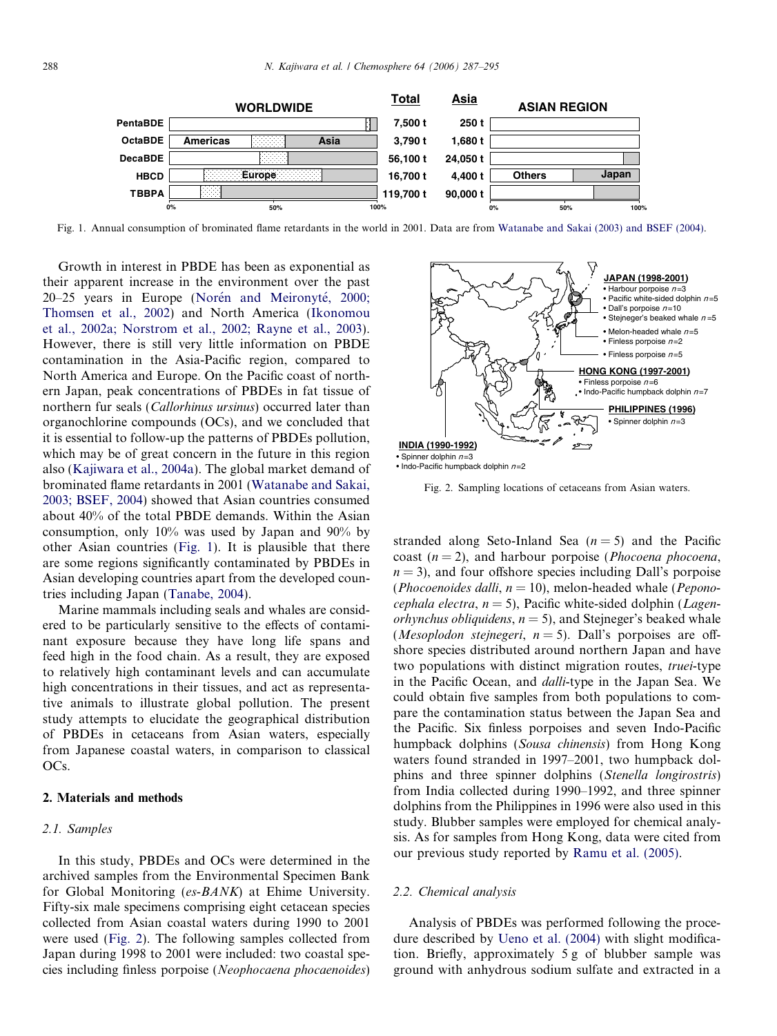

Fig. 1. Annual consumption of brominated flame retardants in the world in 2001. Data are from [Watanabe and Sakai \(2003\) and BSEF \(2004\).](#page-8-0)

Growth in interest in PBDE has been as exponential as their apparent increase in the environment over the past 20–25 years in Europe (Norén and Meironyté, 2000; [Thomsen et al., 2002](#page-8-0)) and North America ([Ikonomou](#page-8-0) [et al., 2002a; Norstrom et al., 2002; Rayne et al., 2003\)](#page-8-0). However, there is still very little information on PBDE contamination in the Asia-Pacific region, compared to North America and Europe. On the Pacific coast of northern Japan, peak concentrations of PBDEs in fat tissue of northern fur seals (*Callorhinus ursinus*) occurred later than organochlorine compounds (OCs), and we concluded that it is essential to follow-up the patterns of PBDEs pollution, which may be of great concern in the future in this region also ([Kajiwara et al., 2004a\)](#page-8-0). The global market demand of brominated flame retardants in 2001 ([Watanabe and Sakai,](#page-8-0) [2003; BSEF, 2004\)](#page-8-0) showed that Asian countries consumed about 40% of the total PBDE demands. Within the Asian consumption, only 10% was used by Japan and 90% by other Asian countries (Fig. 1). It is plausible that there are some regions significantly contaminated by PBDEs in Asian developing countries apart from the developed countries including Japan ([Tanabe, 2004\)](#page-8-0).

Marine mammals including seals and whales are considered to be particularly sensitive to the effects of contaminant exposure because they have long life spans and feed high in the food chain. As a result, they are exposed to relatively high contaminant levels and can accumulate high concentrations in their tissues, and act as representative animals to illustrate global pollution. The present study attempts to elucidate the geographical distribution of PBDEs in cetaceans from Asian waters, especially from Japanese coastal waters, in comparison to classical OCs.

#### 2. Materials and methods

## 2.1. Samples

In this study, PBDEs and OCs were determined in the archived samples from the Environmental Specimen Bank for Global Monitoring (es-BANK) at Ehime University. Fifty-six male specimens comprising eight cetacean species collected from Asian coastal waters during 1990 to 2001 were used (Fig. 2). The following samples collected from Japan during 1998 to 2001 were included: two coastal species including finless porpoise (Neophocaena phocaenoides)



Fig. 2. Sampling locations of cetaceans from Asian waters.

stranded along Seto-Inland Sea  $(n=5)$  and the Pacific coast  $(n = 2)$ , and harbour porpoise (*Phocoena phocoena*,  $n = 3$ ), and four offshore species including Dall's porpoise (Phocoenoides dalli,  $n = 10$ ), melon-headed whale (Peponocephala electra,  $n = 5$ ), Pacific white-sided dolphin (*Lagenorhynchus obliquidens,*  $n = 5$ *), and Stejneger's beaked whale* (*Mesoplodon stejnegeri*,  $n = 5$ ). Dall's porpoises are offshore species distributed around northern Japan and have two populations with distinct migration routes, *truei-type* in the Pacific Ocean, and dalli-type in the Japan Sea. We could obtain five samples from both populations to compare the contamination status between the Japan Sea and the Pacific. Six finless porpoises and seven Indo-Pacific humpback dolphins (Sousa chinensis) from Hong Kong waters found stranded in 1997–2001, two humpback dolphins and three spinner dolphins (Stenella longirostris) from India collected during 1990–1992, and three spinner dolphins from the Philippines in 1996 were also used in this study. Blubber samples were employed for chemical analysis. As for samples from Hong Kong, data were cited from our previous study reported by [Ramu et al. \(2005\)](#page-8-0).

## 2.2. Chemical analysis

Analysis of PBDEs was performed following the procedure described by [Ueno et al. \(2004\)](#page-8-0) with slight modification. Briefly, approximately 5 g of blubber sample was ground with anhydrous sodium sulfate and extracted in a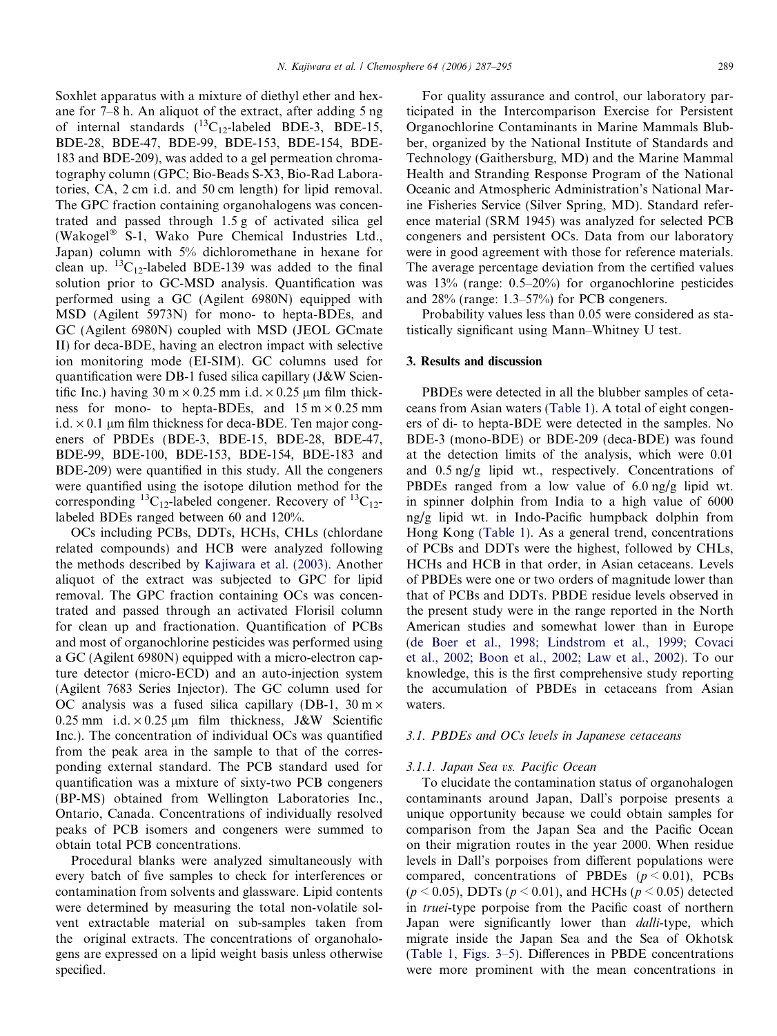Soxhlet apparatus with a mixture of diethyl ether and hexane for 7–8 h. An aliquot of the extract, after adding 5 ng of internal standards  $(^{13}C_{12}$ -labeled BDE-3, BDE-15, BDE-28, BDE-47, BDE-99, BDE-153, BDE-154, BDE-183 and BDE-209), was added to a gel permeation chromatography column (GPC; Bio-Beads S-X3, Bio-Rad Laboratories, CA, 2 cm i.d. and 50 cm length) for lipid removal. The GPC fraction containing organohalogens was concentrated and passed through 1.5 g of activated silica gel (Wakogel $^{\circ}$  S-1, Wako Pure Chemical Industries Ltd., Japan) column with 5% dichloromethane in hexane for clean up.  ${}^{13}C_{12}$ -labeled BDE-139 was added to the final solution prior to GC-MSD analysis. Quantification was performed using a GC (Agilent 6980N) equipped with MSD (Agilent 5973N) for mono- to hepta-BDEs, and GC (Agilent 6980N) coupled with MSD (JEOL GCmate II) for deca-BDE, having an electron impact with selective ion monitoring mode (EI-SIM). GC columns used for quantification were DB-1 fused silica capillary (J&W Scientific Inc.) having 30 m  $\times$  0.25 mm i.d.  $\times$  0.25 µm film thickness for mono- to hepta-BDEs, and  $15 \text{ m} \times 0.25 \text{ mm}$ i.d.  $\times$  0.1 µm film thickness for deca-BDE. Ten major congeners of PBDEs (BDE-3, BDE-15, BDE-28, BDE-47, BDE-99, BDE-100, BDE-153, BDE-154, BDE-183 and BDE-209) were quantified in this study. All the congeners were quantified using the isotope dilution method for the corresponding <sup>13</sup>C<sub>12</sub>-labeled congener. Recovery of <sup>13</sup>C<sub>12</sub>labeled BDEs ranged between 60 and 120%.

OCs including PCBs, DDTs, HCHs, CHLs (chlordane related compounds) and HCB were analyzed following the methods described by [Kajiwara et al. \(2003\).](#page-8-0) Another aliquot of the extract was subjected to GPC for lipid removal. The GPC fraction containing OCs was concentrated and passed through an activated Florisil column for clean up and fractionation. Quantification of PCBs and most of organochlorine pesticides was performed using a GC (Agilent 6980N) equipped with a micro-electron capture detector (micro-ECD) and an auto-injection system (Agilent 7683 Series Injector). The GC column used for OC analysis was a fused silica capillary (DB-1,  $30 \text{ m} \times$ 0.25 mm i.d.  $\times$  0.25 µm film thickness, J&W Scientific Inc.). The concentration of individual OCs was quantified from the peak area in the sample to that of the corresponding external standard. The PCB standard used for quantification was a mixture of sixty-two PCB congeners (BP-MS) obtained from Wellington Laboratories Inc., Ontario, Canada. Concentrations of individually resolved peaks of PCB isomers and congeners were summed to obtain total PCB concentrations.

Procedural blanks were analyzed simultaneously with every batch of five samples to check for interferences or contamination from solvents and glassware. Lipid contents were determined by measuring the total non-volatile solvent extractable material on sub-samples taken from the original extracts. The concentrations of organohalogens are expressed on a lipid weight basis unless otherwise specified.

For quality assurance and control, our laboratory participated in the Intercomparison Exercise for Persistent Organochlorine Contaminants in Marine Mammals Blubber, organized by the National Institute of Standards and Technology (Gaithersburg, MD) and the Marine Mammal Health and Stranding Response Program of the National Oceanic and Atmospheric Administration's National Marine Fisheries Service (Silver Spring, MD). Standard reference material (SRM 1945) was analyzed for selected PCB congeners and persistent OCs. Data from our laboratory were in good agreement with those for reference materials. The average percentage deviation from the certified values was 13% (range: 0.5–20%) for organochlorine pesticides and 28% (range: 1.3–57%) for PCB congeners.

Probability values less than 0.05 were considered as statistically significant using Mann–Whitney U test.

#### 3. Results and discussion

PBDEs were detected in all the blubber samples of cetaceans from Asian waters [\(Table 1\)](#page-3-0). A total of eight congeners of di- to hepta-BDE were detected in the samples. No BDE-3 (mono-BDE) or BDE-209 (deca-BDE) was found at the detection limits of the analysis, which were 0.01 and 0.5 ng/g lipid wt., respectively. Concentrations of PBDEs ranged from a low value of 6.0 ng/g lipid wt. in spinner dolphin from India to a high value of 6000 ng/g lipid wt. in Indo-Pacific humpback dolphin from Hong Kong [\(Table 1](#page-3-0)). As a general trend, concentrations of PCBs and DDTs were the highest, followed by CHLs, HCHs and HCB in that order, in Asian cetaceans. Levels of PBDEs were one or two orders of magnitude lower than that of PCBs and DDTs. PBDE residue levels observed in the present study were in the range reported in the North American studies and somewhat lower than in Europe ([de Boer et al., 1998; Lindstrom et al., 1999; Covaci](#page-8-0) [et al., 2002; Boon et al., 2002; Law et al., 2002](#page-8-0)). To our knowledge, this is the first comprehensive study reporting the accumulation of PBDEs in cetaceans from Asian waters.

## 3.1. PBDEs and OCs levels in Japanese cetaceans

#### 3.1.1. Japan Sea vs. Pacific Ocean

To elucidate the contamination status of organohalogen contaminants around Japan, Dall's porpoise presents a unique opportunity because we could obtain samples for comparison from the Japan Sea and the Pacific Ocean on their migration routes in the year 2000. When residue levels in Dall's porpoises from different populations were compared, concentrations of PBDEs  $(p < 0.01)$ , PCBs  $(p < 0.05)$ , DDTs  $(p < 0.01)$ , and HCHs  $(p < 0.05)$  detected in truei-type porpoise from the Pacific coast of northern Japan were significantly lower than *dalli*-type, which migrate inside the Japan Sea and the Sea of Okhotsk ([Table 1](#page-3-0), [Figs. 3–5\)](#page-4-0). Differences in PBDE concentrations were more prominent with the mean concentrations in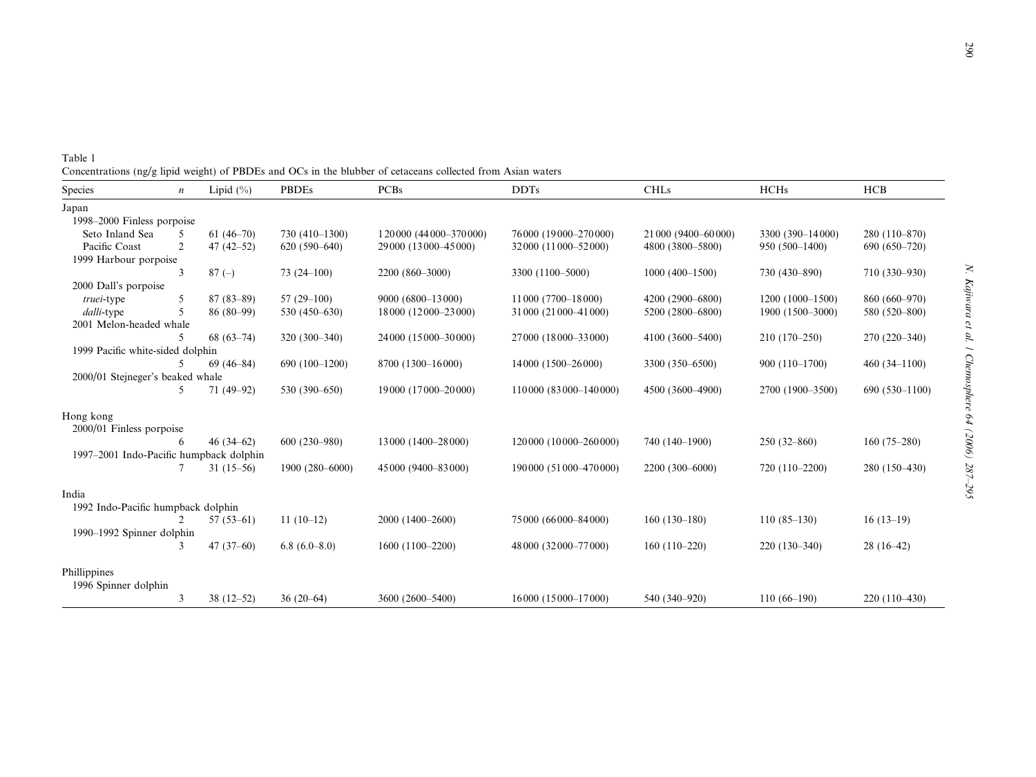| 1<br>wara et at.              |
|-------------------------------|
|                               |
|                               |
|                               |
| Cucritospriere u <del>y</del> |
| - 222                         |
| ハハー<br>ì<br>i                 |

<span id="page-3-0"></span>Table 1 Concentrations (ng/g lipid weight) of PBDEs and OCs in the blubber of cetaceans collected from Asian waters

| <b>Species</b>                          | $\boldsymbol{n}$ | Lipid $(\% )$ | <b>PBDEs</b>     | <b>PCBs</b>                 | <b>DDTs</b>                | <b>CHLs</b>          | <b>HCHs</b>       | <b>HCB</b>      |  |
|-----------------------------------------|------------------|---------------|------------------|-----------------------------|----------------------------|----------------------|-------------------|-----------------|--|
| Japan                                   |                  |               |                  |                             |                            |                      |                   |                 |  |
| 1998-2000 Finless porpoise              |                  |               |                  |                             |                            |                      |                   |                 |  |
| Seto Inland Sea                         | 5                | $61(46-70)$   | 730 (410-1300)   | 1 20 000 (44 000 - 370 000) | 76000 (19000-270000)       | 21 000 (9400-60 000) | 3300 (390-14000)  | 280 (110-870)   |  |
| Pacific Coast                           | $\overline{2}$   | $47(42 - 52)$ | $620(590-640)$   | 29 000 (13 000 - 45 000)    | 32000 (11000-52000)        | 4800 (3800-5800)     | 950 (500-1400)    | $690(650-720)$  |  |
| 1999 Harbour porpoise                   |                  |               |                  |                             |                            |                      |                   |                 |  |
|                                         | 3                | $87(-)$       | $73(24-100)$     | 2200 (860-3000)             | 3300 (1100-5000)           | $1000(400-1500)$     | 730 (430-890)     | 710 (330-930)   |  |
| 2000 Dall's porpoise                    |                  |               |                  |                             |                            |                      |                   |                 |  |
| truei-type                              | 5                | $87(83-89)$   | $57(29-100)$     | 9000 (6800-13000)           | 11 000 (7700-18 000)       | 4200 (2900-6800)     | $1200(1000-1500)$ | 860 (660-970)   |  |
| dalli-type                              | 5                | $86(80-99)$   | 530 (450-630)    | 18 000 (12 000 - 23 000)    | 31 000 (21 000 - 41 000)   | 5200 (2800-6800)     | 1900 (1500-3000)  | 580 (520-800)   |  |
| 2001 Melon-headed whale                 |                  |               |                  |                             |                            |                      |                   |                 |  |
|                                         | 5                | $68(63-74)$   | 320 (300-340)    | 24 000 (15 000 - 30 000)    | 27 000 (18 000 - 33 000)   | 4100 (3600-5400)     | $210(170-250)$    | 270 (220-340)   |  |
| 1999 Pacific white-sided dolphin        |                  |               |                  |                             |                            |                      |                   |                 |  |
|                                         | 5                | $69(46-84)$   | 690 (100-1200)   | 8700 (1300-16000)           | 14000 (1500-26000)         | 3300 (350-6500)      | 900 (110-1700)    | $460(34-1100)$  |  |
| 2000/01 Stejneger's beaked whale        |                  |               |                  |                             |                            |                      |                   |                 |  |
|                                         | 5.               | $71(49-92)$   | 530 (390-650)    | 19000 (17000-20000)         | 110000 (83000-140000)      | 4500 (3600-4900)     | 2700 (1900-3500)  | $690(530-1100)$ |  |
| Hong kong                               |                  |               |                  |                             |                            |                      |                   |                 |  |
| $2000/01$ Finless porpoise              |                  |               |                  |                             |                            |                      |                   |                 |  |
|                                         | 6                | $46(34-62)$   | $600(230 - 980)$ | 13 000 (1400-28 000)        | 120 000 (10 000 - 260 000) | 740 (140-1900)       | $250(32 - 860)$   | $160(75-280)$   |  |
| 1997-2001 Indo-Pacific humpback dolphin |                  |               |                  |                             |                            |                      |                   |                 |  |
|                                         |                  | $31(15-56)$   | 1900 (280-6000)  | 45 000 (9400-83 000)        | 190000 (51000-470000)      | 2200 (300-6000)      | 720 (110-2200)    | 280 (150-430)   |  |
| India                                   |                  |               |                  |                             |                            |                      |                   |                 |  |
| 1992 Indo-Pacific humpback dolphin      |                  |               |                  |                             |                            |                      |                   |                 |  |
|                                         | $\mathfrak{D}$   | $57(53-61)$   | $11(10-12)$      | 2000 (1400-2600)            | 75000 (66000-84000)        | $160(130-180)$       | $110(85-130)$     | $16(13-19)$     |  |
| 1990–1992 Spinner dolphin               |                  |               |                  |                             |                            |                      |                   |                 |  |
|                                         | 3                | 47 $(37-60)$  | $6.8(6.0-8.0)$   | 1600 (1100-2200)            | 48 000 (32 000 - 77 000)   | $160(110-220)$       | $220(130-340)$    | $28(16-42)$     |  |
| Phillippines                            |                  |               |                  |                             |                            |                      |                   |                 |  |
| 1996 Spinner dolphin                    |                  |               |                  |                             |                            |                      |                   |                 |  |
|                                         | 3                | $38(12-52)$   | $36(20-64)$      | 3600 (2600-5400)            | 16000 (15000-17000)        | 540 (340-920)        | $110(66-190)$     | $220(110-430)$  |  |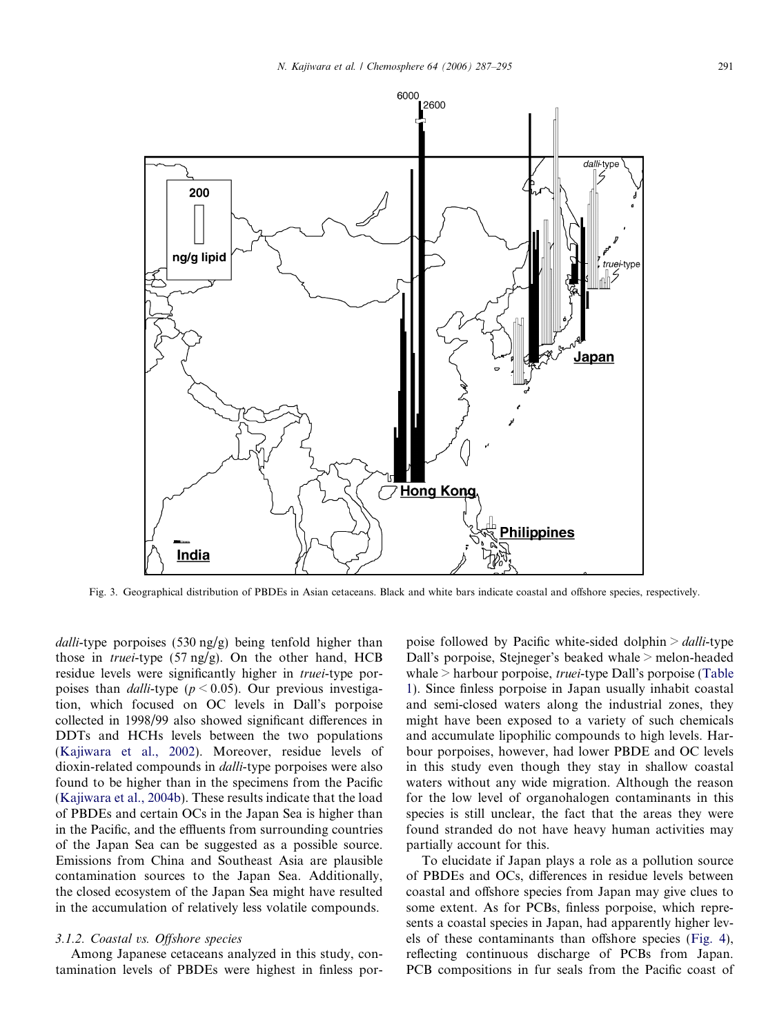<span id="page-4-0"></span>

Fig. 3. Geographical distribution of PBDEs in Asian cetaceans. Black and white bars indicate coastal and offshore species, respectively.

dalli-type porpoises  $(530 \text{ ng/g})$  being tenfold higher than those in *truei*-type  $(57 \text{ ng/g})$ . On the other hand, HCB residue levels were significantly higher in truei-type porpoises than *dalli-type* ( $p < 0.05$ ). Our previous investigation, which focused on OC levels in Dall's porpoise collected in 1998/99 also showed significant differences in DDTs and HCHs levels between the two populations ([Kajiwara et al., 2002](#page-8-0)). Moreover, residue levels of dioxin-related compounds in dalli-type porpoises were also found to be higher than in the specimens from the Pacific ([Kajiwara et al., 2004b\)](#page-8-0). These results indicate that the load of PBDEs and certain OCs in the Japan Sea is higher than in the Pacific, and the effluents from surrounding countries of the Japan Sea can be suggested as a possible source. Emissions from China and Southeast Asia are plausible contamination sources to the Japan Sea. Additionally, the closed ecosystem of the Japan Sea might have resulted in the accumulation of relatively less volatile compounds.

#### 3.1.2. Coastal vs. Offshore species

Among Japanese cetaceans analyzed in this study, contamination levels of PBDEs were highest in finless porpoise followed by Pacific white-sided dolphin  $>$  *dalli*-type Dall's porpoise, Stejneger's beaked whale > melon-headed whale > harbour porpoise, truei-type Dall's porpoise ([Table](#page-3-0) [1\)](#page-3-0). Since finless porpoise in Japan usually inhabit coastal and semi-closed waters along the industrial zones, they might have been exposed to a variety of such chemicals and accumulate lipophilic compounds to high levels. Harbour porpoises, however, had lower PBDE and OC levels in this study even though they stay in shallow coastal waters without any wide migration. Although the reason for the low level of organohalogen contaminants in this species is still unclear, the fact that the areas they were found stranded do not have heavy human activities may partially account for this.

To elucidate if Japan plays a role as a pollution source of PBDEs and OCs, differences in residue levels between coastal and offshore species from Japan may give clues to some extent. As for PCBs, finless porpoise, which represents a coastal species in Japan, had apparently higher levels of these contaminants than offshore species ([Fig. 4\)](#page-5-0), reflecting continuous discharge of PCBs from Japan. PCB compositions in fur seals from the Pacific coast of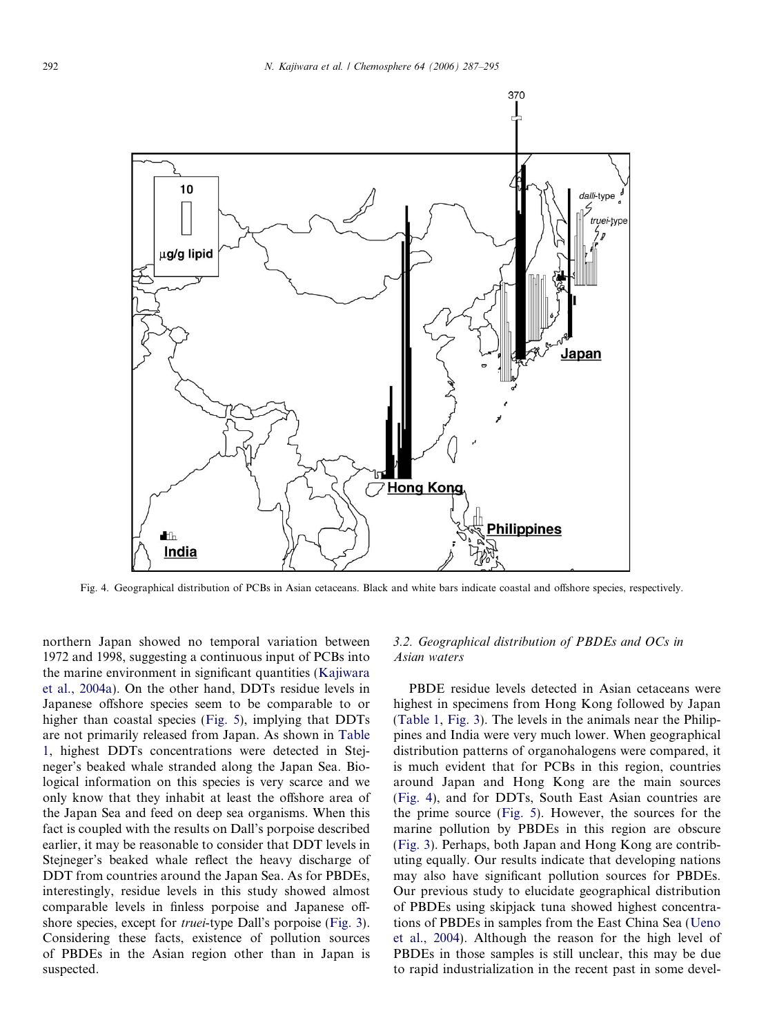<span id="page-5-0"></span>

Fig. 4. Geographical distribution of PCBs in Asian cetaceans. Black and white bars indicate coastal and offshore species, respectively.

northern Japan showed no temporal variation between 1972 and 1998, suggesting a continuous input of PCBs into the marine environment in significant quantities [\(Kajiwara](#page-8-0) [et al., 2004a](#page-8-0)). On the other hand, DDTs residue levels in Japanese offshore species seem to be comparable to or higher than coastal species ([Fig. 5\)](#page-6-0), implying that DDTs are not primarily released from Japan. As shown in [Table](#page-3-0) [1,](#page-3-0) highest DDTs concentrations were detected in Stejneger's beaked whale stranded along the Japan Sea. Biological information on this species is very scarce and we only know that they inhabit at least the offshore area of the Japan Sea and feed on deep sea organisms. When this fact is coupled with the results on Dall's porpoise described earlier, it may be reasonable to consider that DDT levels in Stejneger's beaked whale reflect the heavy discharge of DDT from countries around the Japan Sea. As for PBDEs, interestingly, residue levels in this study showed almost comparable levels in finless porpoise and Japanese offshore species, except for truei-type Dall's porpoise ([Fig. 3\)](#page-4-0). Considering these facts, existence of pollution sources of PBDEs in the Asian region other than in Japan is suspected.

## 3.2. Geographical distribution of PBDEs and OCs in Asian waters

PBDE residue levels detected in Asian cetaceans were highest in specimens from Hong Kong followed by Japan [\(Table 1](#page-3-0), [Fig. 3](#page-4-0)). The levels in the animals near the Philippines and India were very much lower. When geographical distribution patterns of organohalogens were compared, it is much evident that for PCBs in this region, countries around Japan and Hong Kong are the main sources (Fig. 4), and for DDTs, South East Asian countries are the prime source ([Fig. 5](#page-6-0)). However, the sources for the marine pollution by PBDEs in this region are obscure [\(Fig. 3\)](#page-4-0). Perhaps, both Japan and Hong Kong are contributing equally. Our results indicate that developing nations may also have significant pollution sources for PBDEs. Our previous study to elucidate geographical distribution of PBDEs using skipjack tuna showed highest concentrations of PBDEs in samples from the East China Sea [\(Ueno](#page-8-0) [et al., 2004](#page-8-0)). Although the reason for the high level of PBDEs in those samples is still unclear, this may be due to rapid industrialization in the recent past in some devel-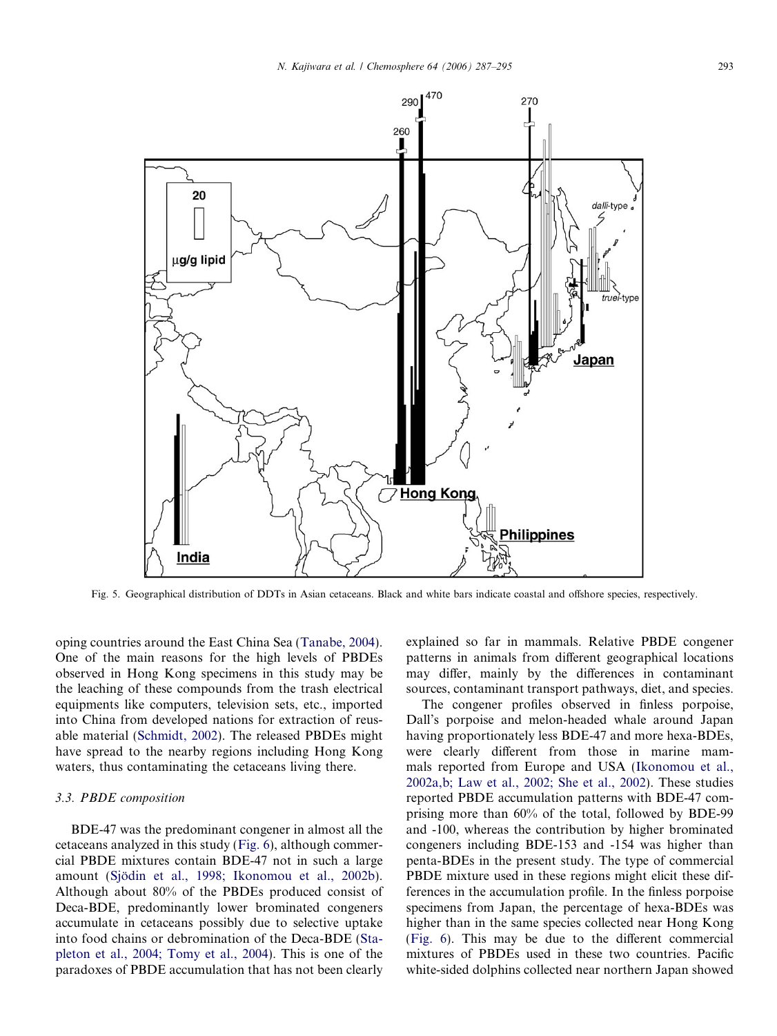<span id="page-6-0"></span>

Fig. 5. Geographical distribution of DDTs in Asian cetaceans. Black and white bars indicate coastal and offshore species, respectively.

oping countries around the East China Sea [\(Tanabe, 2004\)](#page-8-0). One of the main reasons for the high levels of PBDEs observed in Hong Kong specimens in this study may be the leaching of these compounds from the trash electrical equipments like computers, television sets, etc., imported into China from developed nations for extraction of reusable material ([Schmidt, 2002\)](#page-8-0). The released PBDEs might have spread to the nearby regions including Hong Kong waters, thus contaminating the cetaceans living there.

#### 3.3. PBDE composition

BDE-47 was the predominant congener in almost all the cetaceans analyzed in this study [\(Fig. 6\)](#page-7-0), although commercial PBDE mixtures contain BDE-47 not in such a large amount (Sjödin et al., 1998; Ikonomou et al., 2002b). Although about 80% of the PBDEs produced consist of Deca-BDE, predominantly lower brominated congeners accumulate in cetaceans possibly due to selective uptake into food chains or debromination of the Deca-BDE [\(Sta](#page-8-0)[pleton et al., 2004; Tomy et al., 2004\)](#page-8-0). This is one of the paradoxes of PBDE accumulation that has not been clearly

explained so far in mammals. Relative PBDE congener patterns in animals from different geographical locations may differ, mainly by the differences in contaminant sources, contaminant transport pathways, diet, and species.

The congener profiles observed in finless porpoise, Dall's porpoise and melon-headed whale around Japan having proportionately less BDE-47 and more hexa-BDEs, were clearly different from those in marine mammals reported from Europe and USA ([Ikonomou et al.,](#page-8-0) [2002a,b; Law et al., 2002; She et al., 2002](#page-8-0)). These studies reported PBDE accumulation patterns with BDE-47 comprising more than 60% of the total, followed by BDE-99 and -100, whereas the contribution by higher brominated congeners including BDE-153 and -154 was higher than penta-BDEs in the present study. The type of commercial PBDE mixture used in these regions might elicit these differences in the accumulation profile. In the finless porpoise specimens from Japan, the percentage of hexa-BDEs was higher than in the same species collected near Hong Kong ([Fig. 6\)](#page-7-0). This may be due to the different commercial mixtures of PBDEs used in these two countries. Pacific white-sided dolphins collected near northern Japan showed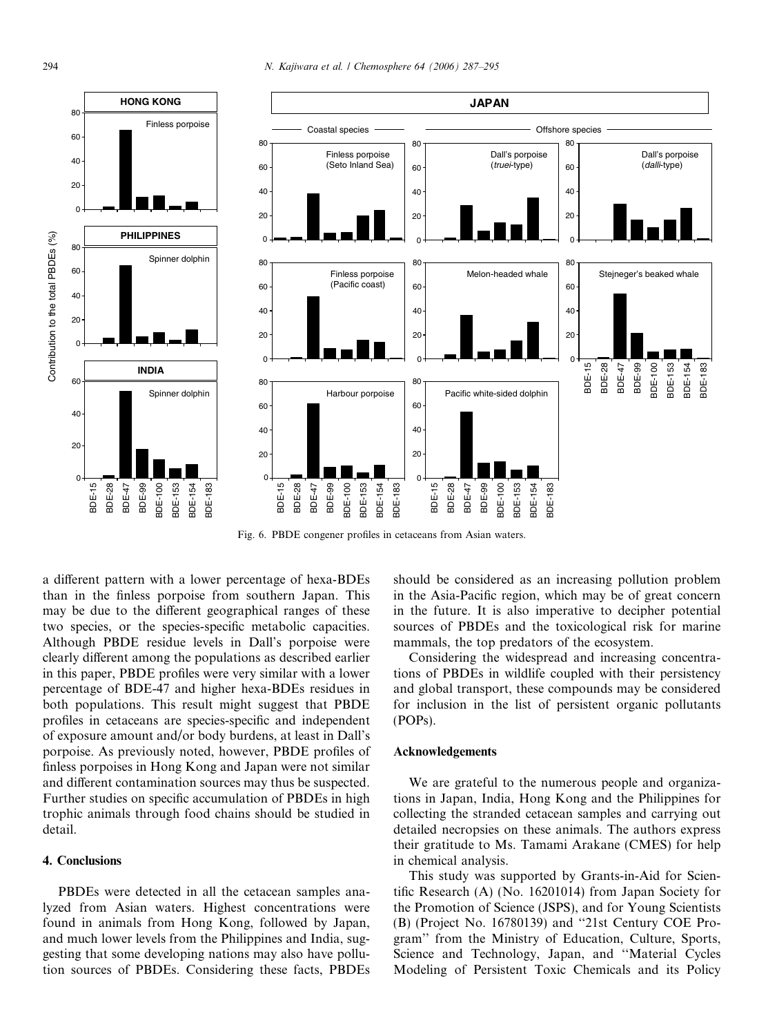<span id="page-7-0"></span>

Fig. 6. PBDE congener profiles in cetaceans from Asian waters.

a different pattern with a lower percentage of hexa-BDEs than in the finless porpoise from southern Japan. This may be due to the different geographical ranges of these two species, or the species-specific metabolic capacities. Although PBDE residue levels in Dall's porpoise were clearly different among the populations as described earlier in this paper, PBDE profiles were very similar with a lower percentage of BDE-47 and higher hexa-BDEs residues in both populations. This result might suggest that PBDE profiles in cetaceans are species-specific and independent of exposure amount and/or body burdens, at least in Dall's porpoise. As previously noted, however, PBDE profiles of finless porpoises in Hong Kong and Japan were not similar and different contamination sources may thus be suspected. Further studies on specific accumulation of PBDEs in high trophic animals through food chains should be studied in detail.

## 4. Conclusions

PBDEs were detected in all the cetacean samples analyzed from Asian waters. Highest concentrations were found in animals from Hong Kong, followed by Japan, and much lower levels from the Philippines and India, suggesting that some developing nations may also have pollution sources of PBDEs. Considering these facts, PBDEs

should be considered as an increasing pollution problem in the Asia-Pacific region, which may be of great concern in the future. It is also imperative to decipher potential sources of PBDEs and the toxicological risk for marine mammals, the top predators of the ecosystem.

Considering the widespread and increasing concentrations of PBDEs in wildlife coupled with their persistency and global transport, these compounds may be considered for inclusion in the list of persistent organic pollutants (POPs).

#### Acknowledgements

We are grateful to the numerous people and organizations in Japan, India, Hong Kong and the Philippines for collecting the stranded cetacean samples and carrying out detailed necropsies on these animals. The authors express their gratitude to Ms. Tamami Arakane (CMES) for help in chemical analysis.

This study was supported by Grants-in-Aid for Scientific Research (A) (No. 16201014) from Japan Society for the Promotion of Science (JSPS), and for Young Scientists (B) (Project No. 16780139) and ''21st Century COE Program'' from the Ministry of Education, Culture, Sports, Science and Technology, Japan, and ''Material Cycles Modeling of Persistent Toxic Chemicals and its Policy